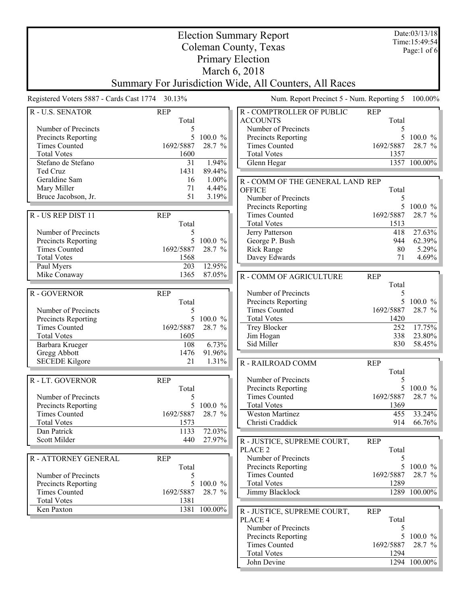| <b>Election Summary Report</b>              |                                                 |              |                                                        | Date:03/13/18     |                                 |
|---------------------------------------------|-------------------------------------------------|--------------|--------------------------------------------------------|-------------------|---------------------------------|
| Coleman County, Texas                       |                                                 |              |                                                        |                   | Time: 15:49:54<br>Page:1 of $6$ |
| <b>Primary Election</b>                     |                                                 |              |                                                        |                   |                                 |
| March 6, 2018                               |                                                 |              |                                                        |                   |                                 |
|                                             |                                                 |              | Summary For Jurisdiction Wide, All Counters, All Races |                   |                                 |
|                                             | Registered Voters 5887 - Cards Cast 1774 30.13% |              | Num. Report Precinct 5 - Num. Reporting 5              |                   | 100.00%                         |
| R - U.S. SENATOR                            | <b>REP</b>                                      |              | R - COMPTROLLER OF PUBLIC                              | <b>REP</b>        |                                 |
|                                             | Total                                           |              | <b>ACCOUNTS</b>                                        | Total             |                                 |
| Number of Precincts                         | 5                                               |              | Number of Precincts                                    | 5                 |                                 |
| Precincts Reporting<br><b>Times Counted</b> | 5<br>1692/5887                                  | 100.0 %      | Precincts Reporting                                    | 5                 | $100.0 \%$                      |
| <b>Total Votes</b>                          | 1600                                            | 28.7 %       | <b>Times Counted</b><br><b>Total Votes</b>             | 1692/5887<br>1357 | 28.7 %                          |
| Stefano de Stefano                          | 31                                              | 1.94%        | Glenn Hegar                                            |                   | 1357 100.00%                    |
| Ted Cruz                                    | 1431                                            | 89.44%       |                                                        |                   |                                 |
| Geraldine Sam                               | 16                                              | 1.00%        | R - COMM OF THE GENERAL LAND REP                       |                   |                                 |
| Mary Miller                                 | 71                                              | 4.44%        | <b>OFFICE</b>                                          | Total             |                                 |
| Bruce Jacobson, Jr.                         | 51                                              | 3.19%        | Number of Precincts                                    | 5                 |                                 |
|                                             |                                                 |              | Precincts Reporting                                    | 5                 | 100.0 %                         |
| R - US REP DIST 11                          | <b>REP</b>                                      |              | <b>Times Counted</b><br><b>Total Votes</b>             | 1692/5887<br>1513 | 28.7 %                          |
| Number of Precincts                         | Total<br>5                                      |              | Jerry Patterson                                        | 418               | 27.63%                          |
| Precincts Reporting                         | 5                                               | 100.0 %      | George P. Bush                                         | 944               | 62.39%                          |
| <b>Times Counted</b>                        | 1692/5887                                       | 28.7 %       | <b>Rick Range</b>                                      | 80                | 5.29%                           |
| <b>Total Votes</b>                          | 1568                                            |              | Davey Edwards                                          | 71                | 4.69%                           |
| Paul Myers                                  | 203                                             | 12.95%       |                                                        |                   |                                 |
| Mike Conaway                                | 1365                                            | 87.05%       | R - COMM OF AGRICULTURE                                | <b>REP</b>        |                                 |
|                                             |                                                 |              |                                                        | Total             |                                 |
| R - GOVERNOR                                | <b>REP</b>                                      |              | Number of Precincts                                    | 5<br>5            |                                 |
| Number of Precincts                         | Total<br>5                                      |              | Precincts Reporting<br><b>Times Counted</b>            | 1692/5887         | 100.0 $%$<br>28.7 %             |
| Precincts Reporting                         | 5                                               | $100.0 \%$   | <b>Total Votes</b>                                     | 1420              |                                 |
| <b>Times Counted</b>                        | 1692/5887                                       | 28.7 %       | Trey Blocker                                           | 252               | $17.75\%$                       |
| <b>Total Votes</b>                          | 1605                                            |              | Jim Hogan                                              | 338               | 23.80%                          |
| Barbara Krueger                             | 108                                             | 6.73%        | Sid Miller                                             | 830               | 58.45%                          |
| Gregg Abbott                                | 1476                                            | 91.96%       |                                                        |                   |                                 |
| <b>SECEDE Kilgore</b>                       | 21                                              | 1.31%        | R - RAILROAD COMM                                      | <b>REP</b>        |                                 |
|                                             | <b>REP</b>                                      |              | Number of Precincts                                    | Total<br>5        |                                 |
| R - LT. GOVERNOR                            | Total                                           |              | Precincts Reporting                                    | 5                 | 100.0 $%$                       |
| Number of Precincts                         | 5                                               |              | <b>Times Counted</b>                                   | 1692/5887         | 28.7 %                          |
| Precincts Reporting                         | 5                                               | 100.0 %      | <b>Total Votes</b>                                     | 1369              |                                 |
| <b>Times Counted</b>                        | 1692/5887                                       | 28.7 %       | <b>Weston Martinez</b>                                 | 455               | 33.24%                          |
| <b>Total Votes</b>                          | 1573                                            |              | Christi Craddick                                       | 914               | 66.76%                          |
| Dan Patrick                                 | 1133                                            | 72.03%       |                                                        |                   |                                 |
| Scott Milder                                | 440                                             | 27.97%       | R - JUSTICE, SUPREME COURT,                            | <b>REP</b>        |                                 |
| R - ATTORNEY GENERAL                        | <b>REP</b>                                      |              | PLACE <sub>2</sub><br>Number of Precincts              | Total<br>5        |                                 |
|                                             | Total                                           |              | Precincts Reporting                                    | 5                 | 100.0 $%$                       |
| Number of Precincts                         | 5                                               |              | <b>Times Counted</b>                                   | 1692/5887         | 28.7 %                          |
| <b>Precincts Reporting</b>                  | 5                                               | $100.0 \%$   | <b>Total Votes</b>                                     | 1289              |                                 |
| <b>Times Counted</b>                        | 1692/5887                                       | 28.7 %       | Jimmy Blacklock                                        |                   | 1289 100.00%                    |
| <b>Total Votes</b>                          | 1381                                            |              |                                                        |                   |                                 |
| Ken Paxton                                  |                                                 | 1381 100.00% | R - JUSTICE, SUPREME COURT,                            | <b>REP</b>        |                                 |
|                                             |                                                 |              | PLACE 4<br>Number of Precincts                         | Total             |                                 |
|                                             |                                                 |              | Precincts Reporting                                    | 5<br>5            | $100.0~\%$                      |
|                                             |                                                 |              | <b>Times Counted</b>                                   | 1692/5887         | 28.7 %                          |
|                                             |                                                 |              | <b>Total Votes</b>                                     | 1294              |                                 |
|                                             |                                                 |              | John Devine                                            |                   | 1294 100.00%                    |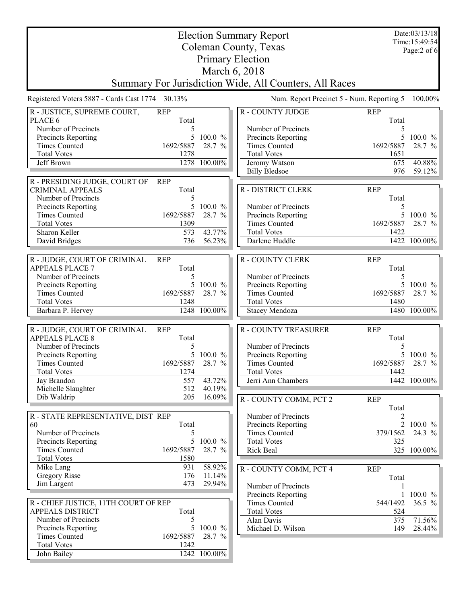| <b>Election Summary Report</b><br>Coleman County, Texas |                                                                                                                                                                   |                       |                                            |                     | Date:03/13/18<br>Time: 15:49:54<br>Page:2 of 6 |
|---------------------------------------------------------|-------------------------------------------------------------------------------------------------------------------------------------------------------------------|-----------------------|--------------------------------------------|---------------------|------------------------------------------------|
| <b>Primary Election</b>                                 |                                                                                                                                                                   |                       |                                            |                     |                                                |
|                                                         |                                                                                                                                                                   | March 6, 2018         |                                            |                     |                                                |
|                                                         |                                                                                                                                                                   |                       |                                            |                     |                                                |
|                                                         | Summary For Jurisdiction Wide, All Counters, All Races<br>Registered Voters 5887 - Cards Cast 1774 30.13%<br>Num. Report Precinct 5 - Num. Reporting 5<br>100.00% |                       |                                            |                     |                                                |
| R - JUSTICE, SUPREME COURT,                             | <b>REP</b>                                                                                                                                                        |                       | <b>R-COUNTY JUDGE</b>                      | <b>REP</b>          |                                                |
| PLACE 6<br>Number of Precincts                          | Total                                                                                                                                                             |                       | Number of Precincts                        | Total<br>5          |                                                |
| Precincts Reporting                                     | 5<br>5                                                                                                                                                            | 100.0 %               | Precincts Reporting                        | 5                   | $100.0 \%$                                     |
| <b>Times Counted</b>                                    | 1692/5887                                                                                                                                                         | 28.7 %                | <b>Times Counted</b>                       | 1692/5887           | 28.7 %                                         |
| <b>Total Votes</b>                                      | 1278                                                                                                                                                              |                       | <b>Total Votes</b>                         | 1651                |                                                |
| Jeff Brown                                              | 1278                                                                                                                                                              | 100.00%               | Jeromy Watson                              | 675                 | 40.88%                                         |
|                                                         |                                                                                                                                                                   |                       | <b>Billy Bledsoe</b>                       | 976                 | 59.12%                                         |
| R - PRESIDING JUDGE, COURT OF                           | <b>REP</b>                                                                                                                                                        |                       |                                            |                     |                                                |
| <b>CRIMINAL APPEALS</b>                                 | Total                                                                                                                                                             |                       | R - DISTRICT CLERK                         | <b>REP</b>          |                                                |
| Number of Precincts                                     | 5                                                                                                                                                                 | 100.0 %               |                                            | Total               |                                                |
| Precincts Reporting<br><b>Times Counted</b>             | 5<br>1692/5887                                                                                                                                                    | 28.7 %                | Number of Precincts<br>Precincts Reporting | 5<br>5              | $100.0 \%$                                     |
| <b>Total Votes</b>                                      | 1309                                                                                                                                                              |                       | <b>Times Counted</b>                       | 1692/5887           | 28.7 %                                         |
| Sharon Keller                                           | 573                                                                                                                                                               | 43.77%                | <b>Total Votes</b>                         | 1422                |                                                |
| David Bridges                                           | 736                                                                                                                                                               | 56.23%                | Darlene Huddle                             |                     | 1422 100.00%                                   |
|                                                         |                                                                                                                                                                   |                       |                                            |                     |                                                |
| R - JUDGE, COURT OF CRIMINAL                            | <b>REP</b>                                                                                                                                                        |                       | <b>R-COUNTY CLERK</b>                      | <b>REP</b>          |                                                |
| <b>APPEALS PLACE 7</b>                                  | Total                                                                                                                                                             |                       |                                            | Total               |                                                |
| Number of Precincts                                     | 5                                                                                                                                                                 |                       | Number of Precincts                        | 5                   |                                                |
| Precincts Reporting                                     | 5                                                                                                                                                                 | 100.0 %               | Precincts Reporting                        |                     | 5 100.0 %                                      |
| <b>Times Counted</b>                                    | 1692/5887                                                                                                                                                         | 28.7 %                | <b>Times Counted</b>                       | 1692/5887           | 28.7 %                                         |
| <b>Total Votes</b>                                      | 1248                                                                                                                                                              |                       | <b>Total Votes</b>                         | 1480                |                                                |
| Barbara P. Hervey                                       |                                                                                                                                                                   | 1248 100.00%          | Stacey Mendoza                             |                     | 1480 100.00%                                   |
|                                                         |                                                                                                                                                                   |                       |                                            |                     |                                                |
| R - JUDGE, COURT OF CRIMINAL<br><b>APPEALS PLACE 8</b>  | <b>REP</b><br>Total                                                                                                                                               |                       | <b>R-COUNTY TREASURER</b>                  | <b>REP</b><br>Total |                                                |
| Number of Precincts                                     | 5                                                                                                                                                                 |                       | Number of Precincts                        | 5                   |                                                |
| Precincts Reporting                                     | 5                                                                                                                                                                 | 100.0 %               | Precincts Reporting                        |                     | $100.0 \%$                                     |
| <b>Times Counted</b>                                    | 1692/5887                                                                                                                                                         | 28.7<br>$\frac{0}{0}$ | <b>Times Counted</b>                       | 1692/5887           | 28.7 %                                         |
| <b>Total Votes</b>                                      | 1274                                                                                                                                                              |                       | <b>Total Votes</b>                         | 1442                |                                                |
| Jay Brandon                                             | 557                                                                                                                                                               | $43.72\%$             | Jerri Ann Chambers                         |                     | 1442 100.00%                                   |
| Michelle Slaughter                                      | 512                                                                                                                                                               | 40.19%                |                                            |                     |                                                |
| Dib Waldrip                                             | 205                                                                                                                                                               | 16.09%                | R - COUNTY COMM, PCT 2                     | <b>REP</b>          |                                                |
|                                                         |                                                                                                                                                                   |                       |                                            | Total               |                                                |
| R - STATE REPRESENTATIVE, DIST REP                      |                                                                                                                                                                   |                       | Number of Precincts                        | $\overline{c}$      |                                                |
| 60                                                      | Total                                                                                                                                                             |                       | Precincts Reporting                        |                     | 2 100.0 $\%$                                   |
| Number of Precincts                                     | 5                                                                                                                                                                 |                       | <b>Times Counted</b>                       | 379/1562            | $24.3\%$                                       |
| Precincts Reporting                                     | 5 <sup>5</sup>                                                                                                                                                    | $100.0 \%$            | <b>Total Votes</b>                         | 325                 |                                                |
| <b>Times Counted</b><br><b>Total Votes</b>              | 1692/5887<br>1580                                                                                                                                                 | 28.7 %                | Rick Beal                                  |                     | 325 100.00%                                    |
| Mike Lang                                               | 931                                                                                                                                                               | 58.92%                |                                            |                     |                                                |
| Gregory Risse                                           | 176                                                                                                                                                               | 11.14%                | R - COUNTY COMM, PCT 4                     | <b>REP</b>          |                                                |
| Jim Largent                                             | 473                                                                                                                                                               | 29.94%                | Number of Precincts                        | Total               |                                                |
|                                                         |                                                                                                                                                                   |                       | Precincts Reporting                        | 1                   | 100.0 %                                        |
| R - CHIEF JUSTICE, 11TH COURT OF REP                    |                                                                                                                                                                   |                       | <b>Times Counted</b>                       | 544/1492            | 36.5 $\%$                                      |
| <b>APPEALS DISTRICT</b>                                 | Total                                                                                                                                                             |                       | <b>Total Votes</b>                         | 524                 |                                                |
| Number of Precincts                                     | 5                                                                                                                                                                 |                       | Alan Davis                                 | 375                 | 71.56%                                         |
| Precincts Reporting                                     | 5                                                                                                                                                                 | 100.0 %               | Michael D. Wilson                          | 149                 | $28.44\%$                                      |
| <b>Times Counted</b>                                    | 1692/5887                                                                                                                                                         | 28.7 %                |                                            |                     |                                                |
| <b>Total Votes</b>                                      | 1242                                                                                                                                                              |                       |                                            |                     |                                                |
| John Bailey                                             |                                                                                                                                                                   | 1242 100.00%          |                                            |                     |                                                |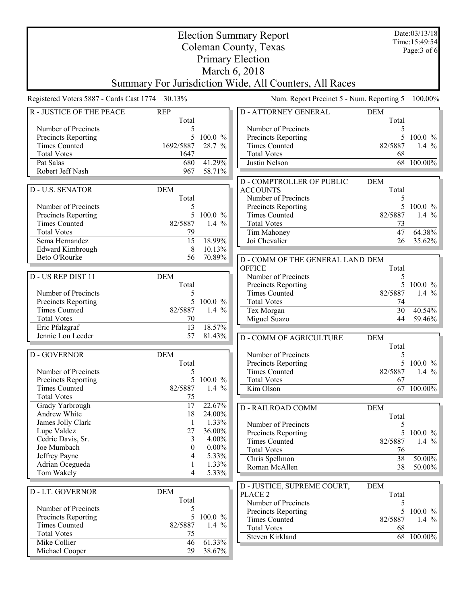| Page: 3 of 6<br><b>Primary Election</b><br>March 6, 2018<br>Summary For Jurisdiction Wide, All Counters, All Races<br>Registered Voters 5887 - Cards Cast 1774 30.13%<br>Num. Report Precinct 5 - Num. Reporting 5<br>100.00%<br><b>R-JUSTICE OF THE PEACE</b><br><b>D-ATTORNEY GENERAL</b><br><b>REP</b><br><b>DEM</b><br>Total<br>Total<br>Number of Precincts<br>Number of Precincts<br>5<br>5<br>5<br>Precincts Reporting<br>$100.0 \%$<br>Precincts Reporting<br>$100.0 \%$<br><b>Times Counted</b><br>1692/5887<br>28.7 %<br><b>Times Counted</b><br>82/5887<br>1.4 $%$<br><b>Total Votes</b><br><b>Total Votes</b><br>1647<br>68<br>41.29%<br>Pat Salas<br>680<br>Justin Nelson<br>68<br>100.00%<br>Robert Jeff Nash<br>967<br>58.71%<br><b>D-COMPTROLLER OF PUBLIC</b><br><b>DEM</b><br><b>D-U.S. SENATOR</b><br><b>DEM</b><br><b>ACCOUNTS</b><br>Total<br>Total<br>Number of Precincts<br>5<br>5<br>$100.0 \%$<br>Number of Precincts<br>Precincts Reporting<br>5<br>5<br>82/5887<br>Precincts Reporting<br>100.0 %<br><b>Times Counted</b><br>1.4 $%$<br><b>Times Counted</b><br>82/5887<br>1.4 $%$<br><b>Total Votes</b><br>73<br>64.38%<br><b>Total Votes</b><br>47<br>79<br>Tim Mahoney<br>18.99%<br>Sema Hernandez<br>15<br>Joi Chevalier<br>26<br>35.62%<br>10.13%<br>Edward Kimbrough<br>8<br>Beto O'Rourke<br>70.89%<br>56<br>D - COMM OF THE GENERAL LAND DEM<br><b>OFFICE</b><br>Total<br><b>DEM</b><br>D - US REP DIST 11<br>Number of Precincts<br>5<br>5 100.0 %<br>Total<br>Precincts Reporting<br><b>Times Counted</b><br>Number of Precincts<br>82/5887<br>1.4 $%$<br>5<br>Precincts Reporting<br>5<br>$100.0 \%$<br><b>Total Votes</b><br>74<br><b>Times Counted</b><br>82/5887<br>1.4 $%$<br>30<br>40.54%<br>Tex Morgan<br><b>Total Votes</b><br>70<br>Miguel Suazo<br>44<br>59.46%<br>13<br>18.57%<br>Eric Pfalzgraf<br>Jennie Lou Leeder<br>57<br>81.43%<br><b>D - COMM OF AGRICULTURE</b><br><b>DEM</b><br>Total<br><b>D-GOVERNOR</b><br><b>DEM</b><br>Number of Precincts<br>5<br>5 100.0 %<br>Total<br>Precincts Reporting<br>Number of Precincts<br>82/5887<br>5<br><b>Times Counted</b><br>1.4 $%$<br>5<br>100.0 %<br><b>Precincts Reporting</b><br><b>Total Votes</b><br>67<br><b>Times Counted</b><br>82/5887<br>Kim Olson<br>$\overline{67}$ 100.00%<br>1.4 $%$<br><b>Total Votes</b><br>75<br>22.67%<br>Grady Yarbrough<br>17<br>DEM<br><b>D-RAILROAD COMM</b><br>Andrew White<br>18<br>24.00%<br>Total<br>1.33%<br>James Jolly Clark<br>$\mathbf{1}$<br>Number of Precincts<br>5<br>Lupe Valdez<br>27<br>36.00%<br>Precincts Reporting<br>5<br>$100.0 \%$<br>Cedric Davis, Sr.<br>3<br>4.00%<br><b>Times Counted</b><br>82/5887<br>1.4 $\%$<br>Joe Mumbach<br>$0.00\%$<br>$\Omega$<br><b>Total Votes</b><br>76<br>Jeffrey Payne<br>5.33%<br>4<br>38<br>Chris Spellmon<br>50.00%<br>Adrian Ocegueda<br>1.33%<br>1<br>38<br>$50.00\%$<br>Roman McAllen<br>Tom Wakely<br>4<br>5.33%<br>D - JUSTICE, SUPREME COURT,<br><b>DEM</b><br><b>DEM</b><br><b>D-LT. GOVERNOR</b><br>Total<br>PLACE <sub>2</sub><br>Total<br>Number of Precincts<br>5<br>Number of Precincts<br>5<br>5<br><b>Precincts Reporting</b><br>$100.0 \%$<br>Precincts Reporting<br>5<br>$100.0 \%$<br><b>Times Counted</b><br>82/5887<br>1.4 $%$<br><b>Times Counted</b><br>82/5887<br>1.4 $%$<br><b>Total Votes</b><br>68<br><b>Total Votes</b><br>75<br>68 100.00%<br>Steven Kirkland<br>61.33%<br>Mike Collier<br>46<br>Michael Cooper<br>29<br>38.67% | <b>Election Summary Report</b> |  |  |  |  | Date:03/13/18<br>Time: 15:49:54 |
|---------------------------------------------------------------------------------------------------------------------------------------------------------------------------------------------------------------------------------------------------------------------------------------------------------------------------------------------------------------------------------------------------------------------------------------------------------------------------------------------------------------------------------------------------------------------------------------------------------------------------------------------------------------------------------------------------------------------------------------------------------------------------------------------------------------------------------------------------------------------------------------------------------------------------------------------------------------------------------------------------------------------------------------------------------------------------------------------------------------------------------------------------------------------------------------------------------------------------------------------------------------------------------------------------------------------------------------------------------------------------------------------------------------------------------------------------------------------------------------------------------------------------------------------------------------------------------------------------------------------------------------------------------------------------------------------------------------------------------------------------------------------------------------------------------------------------------------------------------------------------------------------------------------------------------------------------------------------------------------------------------------------------------------------------------------------------------------------------------------------------------------------------------------------------------------------------------------------------------------------------------------------------------------------------------------------------------------------------------------------------------------------------------------------------------------------------------------------------------------------------------------------------------------------------------------------------------------------------------------------------------------------------------------------------------------------------------------------------------------------------------------------------------------------------------------------------------------------------------------------------------------------------------------------------------------------------------------------------------------------------------------------------------------------------------------------------------------------------------------------------------------------------------------------------------------------------------------------------------------------------------------------------------------------------------------------------------------------------------------------------------------------------------------------------------------------------------------|--------------------------------|--|--|--|--|---------------------------------|
|                                                                                                                                                                                                                                                                                                                                                                                                                                                                                                                                                                                                                                                                                                                                                                                                                                                                                                                                                                                                                                                                                                                                                                                                                                                                                                                                                                                                                                                                                                                                                                                                                                                                                                                                                                                                                                                                                                                                                                                                                                                                                                                                                                                                                                                                                                                                                                                                                                                                                                                                                                                                                                                                                                                                                                                                                                                                                                                                                                                                                                                                                                                                                                                                                                                                                                                                                                                                                                                               | Coleman County, Texas          |  |  |  |  |                                 |
|                                                                                                                                                                                                                                                                                                                                                                                                                                                                                                                                                                                                                                                                                                                                                                                                                                                                                                                                                                                                                                                                                                                                                                                                                                                                                                                                                                                                                                                                                                                                                                                                                                                                                                                                                                                                                                                                                                                                                                                                                                                                                                                                                                                                                                                                                                                                                                                                                                                                                                                                                                                                                                                                                                                                                                                                                                                                                                                                                                                                                                                                                                                                                                                                                                                                                                                                                                                                                                                               |                                |  |  |  |  |                                 |
|                                                                                                                                                                                                                                                                                                                                                                                                                                                                                                                                                                                                                                                                                                                                                                                                                                                                                                                                                                                                                                                                                                                                                                                                                                                                                                                                                                                                                                                                                                                                                                                                                                                                                                                                                                                                                                                                                                                                                                                                                                                                                                                                                                                                                                                                                                                                                                                                                                                                                                                                                                                                                                                                                                                                                                                                                                                                                                                                                                                                                                                                                                                                                                                                                                                                                                                                                                                                                                                               |                                |  |  |  |  |                                 |
|                                                                                                                                                                                                                                                                                                                                                                                                                                                                                                                                                                                                                                                                                                                                                                                                                                                                                                                                                                                                                                                                                                                                                                                                                                                                                                                                                                                                                                                                                                                                                                                                                                                                                                                                                                                                                                                                                                                                                                                                                                                                                                                                                                                                                                                                                                                                                                                                                                                                                                                                                                                                                                                                                                                                                                                                                                                                                                                                                                                                                                                                                                                                                                                                                                                                                                                                                                                                                                                               |                                |  |  |  |  |                                 |
|                                                                                                                                                                                                                                                                                                                                                                                                                                                                                                                                                                                                                                                                                                                                                                                                                                                                                                                                                                                                                                                                                                                                                                                                                                                                                                                                                                                                                                                                                                                                                                                                                                                                                                                                                                                                                                                                                                                                                                                                                                                                                                                                                                                                                                                                                                                                                                                                                                                                                                                                                                                                                                                                                                                                                                                                                                                                                                                                                                                                                                                                                                                                                                                                                                                                                                                                                                                                                                                               |                                |  |  |  |  |                                 |
|                                                                                                                                                                                                                                                                                                                                                                                                                                                                                                                                                                                                                                                                                                                                                                                                                                                                                                                                                                                                                                                                                                                                                                                                                                                                                                                                                                                                                                                                                                                                                                                                                                                                                                                                                                                                                                                                                                                                                                                                                                                                                                                                                                                                                                                                                                                                                                                                                                                                                                                                                                                                                                                                                                                                                                                                                                                                                                                                                                                                                                                                                                                                                                                                                                                                                                                                                                                                                                                               |                                |  |  |  |  |                                 |
|                                                                                                                                                                                                                                                                                                                                                                                                                                                                                                                                                                                                                                                                                                                                                                                                                                                                                                                                                                                                                                                                                                                                                                                                                                                                                                                                                                                                                                                                                                                                                                                                                                                                                                                                                                                                                                                                                                                                                                                                                                                                                                                                                                                                                                                                                                                                                                                                                                                                                                                                                                                                                                                                                                                                                                                                                                                                                                                                                                                                                                                                                                                                                                                                                                                                                                                                                                                                                                                               |                                |  |  |  |  |                                 |
|                                                                                                                                                                                                                                                                                                                                                                                                                                                                                                                                                                                                                                                                                                                                                                                                                                                                                                                                                                                                                                                                                                                                                                                                                                                                                                                                                                                                                                                                                                                                                                                                                                                                                                                                                                                                                                                                                                                                                                                                                                                                                                                                                                                                                                                                                                                                                                                                                                                                                                                                                                                                                                                                                                                                                                                                                                                                                                                                                                                                                                                                                                                                                                                                                                                                                                                                                                                                                                                               |                                |  |  |  |  |                                 |
|                                                                                                                                                                                                                                                                                                                                                                                                                                                                                                                                                                                                                                                                                                                                                                                                                                                                                                                                                                                                                                                                                                                                                                                                                                                                                                                                                                                                                                                                                                                                                                                                                                                                                                                                                                                                                                                                                                                                                                                                                                                                                                                                                                                                                                                                                                                                                                                                                                                                                                                                                                                                                                                                                                                                                                                                                                                                                                                                                                                                                                                                                                                                                                                                                                                                                                                                                                                                                                                               |                                |  |  |  |  |                                 |
|                                                                                                                                                                                                                                                                                                                                                                                                                                                                                                                                                                                                                                                                                                                                                                                                                                                                                                                                                                                                                                                                                                                                                                                                                                                                                                                                                                                                                                                                                                                                                                                                                                                                                                                                                                                                                                                                                                                                                                                                                                                                                                                                                                                                                                                                                                                                                                                                                                                                                                                                                                                                                                                                                                                                                                                                                                                                                                                                                                                                                                                                                                                                                                                                                                                                                                                                                                                                                                                               |                                |  |  |  |  |                                 |
|                                                                                                                                                                                                                                                                                                                                                                                                                                                                                                                                                                                                                                                                                                                                                                                                                                                                                                                                                                                                                                                                                                                                                                                                                                                                                                                                                                                                                                                                                                                                                                                                                                                                                                                                                                                                                                                                                                                                                                                                                                                                                                                                                                                                                                                                                                                                                                                                                                                                                                                                                                                                                                                                                                                                                                                                                                                                                                                                                                                                                                                                                                                                                                                                                                                                                                                                                                                                                                                               |                                |  |  |  |  |                                 |
|                                                                                                                                                                                                                                                                                                                                                                                                                                                                                                                                                                                                                                                                                                                                                                                                                                                                                                                                                                                                                                                                                                                                                                                                                                                                                                                                                                                                                                                                                                                                                                                                                                                                                                                                                                                                                                                                                                                                                                                                                                                                                                                                                                                                                                                                                                                                                                                                                                                                                                                                                                                                                                                                                                                                                                                                                                                                                                                                                                                                                                                                                                                                                                                                                                                                                                                                                                                                                                                               |                                |  |  |  |  |                                 |
|                                                                                                                                                                                                                                                                                                                                                                                                                                                                                                                                                                                                                                                                                                                                                                                                                                                                                                                                                                                                                                                                                                                                                                                                                                                                                                                                                                                                                                                                                                                                                                                                                                                                                                                                                                                                                                                                                                                                                                                                                                                                                                                                                                                                                                                                                                                                                                                                                                                                                                                                                                                                                                                                                                                                                                                                                                                                                                                                                                                                                                                                                                                                                                                                                                                                                                                                                                                                                                                               |                                |  |  |  |  |                                 |
|                                                                                                                                                                                                                                                                                                                                                                                                                                                                                                                                                                                                                                                                                                                                                                                                                                                                                                                                                                                                                                                                                                                                                                                                                                                                                                                                                                                                                                                                                                                                                                                                                                                                                                                                                                                                                                                                                                                                                                                                                                                                                                                                                                                                                                                                                                                                                                                                                                                                                                                                                                                                                                                                                                                                                                                                                                                                                                                                                                                                                                                                                                                                                                                                                                                                                                                                                                                                                                                               |                                |  |  |  |  |                                 |
|                                                                                                                                                                                                                                                                                                                                                                                                                                                                                                                                                                                                                                                                                                                                                                                                                                                                                                                                                                                                                                                                                                                                                                                                                                                                                                                                                                                                                                                                                                                                                                                                                                                                                                                                                                                                                                                                                                                                                                                                                                                                                                                                                                                                                                                                                                                                                                                                                                                                                                                                                                                                                                                                                                                                                                                                                                                                                                                                                                                                                                                                                                                                                                                                                                                                                                                                                                                                                                                               |                                |  |  |  |  |                                 |
|                                                                                                                                                                                                                                                                                                                                                                                                                                                                                                                                                                                                                                                                                                                                                                                                                                                                                                                                                                                                                                                                                                                                                                                                                                                                                                                                                                                                                                                                                                                                                                                                                                                                                                                                                                                                                                                                                                                                                                                                                                                                                                                                                                                                                                                                                                                                                                                                                                                                                                                                                                                                                                                                                                                                                                                                                                                                                                                                                                                                                                                                                                                                                                                                                                                                                                                                                                                                                                                               |                                |  |  |  |  |                                 |
|                                                                                                                                                                                                                                                                                                                                                                                                                                                                                                                                                                                                                                                                                                                                                                                                                                                                                                                                                                                                                                                                                                                                                                                                                                                                                                                                                                                                                                                                                                                                                                                                                                                                                                                                                                                                                                                                                                                                                                                                                                                                                                                                                                                                                                                                                                                                                                                                                                                                                                                                                                                                                                                                                                                                                                                                                                                                                                                                                                                                                                                                                                                                                                                                                                                                                                                                                                                                                                                               |                                |  |  |  |  |                                 |
|                                                                                                                                                                                                                                                                                                                                                                                                                                                                                                                                                                                                                                                                                                                                                                                                                                                                                                                                                                                                                                                                                                                                                                                                                                                                                                                                                                                                                                                                                                                                                                                                                                                                                                                                                                                                                                                                                                                                                                                                                                                                                                                                                                                                                                                                                                                                                                                                                                                                                                                                                                                                                                                                                                                                                                                                                                                                                                                                                                                                                                                                                                                                                                                                                                                                                                                                                                                                                                                               |                                |  |  |  |  |                                 |
|                                                                                                                                                                                                                                                                                                                                                                                                                                                                                                                                                                                                                                                                                                                                                                                                                                                                                                                                                                                                                                                                                                                                                                                                                                                                                                                                                                                                                                                                                                                                                                                                                                                                                                                                                                                                                                                                                                                                                                                                                                                                                                                                                                                                                                                                                                                                                                                                                                                                                                                                                                                                                                                                                                                                                                                                                                                                                                                                                                                                                                                                                                                                                                                                                                                                                                                                                                                                                                                               |                                |  |  |  |  |                                 |
|                                                                                                                                                                                                                                                                                                                                                                                                                                                                                                                                                                                                                                                                                                                                                                                                                                                                                                                                                                                                                                                                                                                                                                                                                                                                                                                                                                                                                                                                                                                                                                                                                                                                                                                                                                                                                                                                                                                                                                                                                                                                                                                                                                                                                                                                                                                                                                                                                                                                                                                                                                                                                                                                                                                                                                                                                                                                                                                                                                                                                                                                                                                                                                                                                                                                                                                                                                                                                                                               |                                |  |  |  |  |                                 |
|                                                                                                                                                                                                                                                                                                                                                                                                                                                                                                                                                                                                                                                                                                                                                                                                                                                                                                                                                                                                                                                                                                                                                                                                                                                                                                                                                                                                                                                                                                                                                                                                                                                                                                                                                                                                                                                                                                                                                                                                                                                                                                                                                                                                                                                                                                                                                                                                                                                                                                                                                                                                                                                                                                                                                                                                                                                                                                                                                                                                                                                                                                                                                                                                                                                                                                                                                                                                                                                               |                                |  |  |  |  |                                 |
|                                                                                                                                                                                                                                                                                                                                                                                                                                                                                                                                                                                                                                                                                                                                                                                                                                                                                                                                                                                                                                                                                                                                                                                                                                                                                                                                                                                                                                                                                                                                                                                                                                                                                                                                                                                                                                                                                                                                                                                                                                                                                                                                                                                                                                                                                                                                                                                                                                                                                                                                                                                                                                                                                                                                                                                                                                                                                                                                                                                                                                                                                                                                                                                                                                                                                                                                                                                                                                                               |                                |  |  |  |  |                                 |
|                                                                                                                                                                                                                                                                                                                                                                                                                                                                                                                                                                                                                                                                                                                                                                                                                                                                                                                                                                                                                                                                                                                                                                                                                                                                                                                                                                                                                                                                                                                                                                                                                                                                                                                                                                                                                                                                                                                                                                                                                                                                                                                                                                                                                                                                                                                                                                                                                                                                                                                                                                                                                                                                                                                                                                                                                                                                                                                                                                                                                                                                                                                                                                                                                                                                                                                                                                                                                                                               |                                |  |  |  |  |                                 |
|                                                                                                                                                                                                                                                                                                                                                                                                                                                                                                                                                                                                                                                                                                                                                                                                                                                                                                                                                                                                                                                                                                                                                                                                                                                                                                                                                                                                                                                                                                                                                                                                                                                                                                                                                                                                                                                                                                                                                                                                                                                                                                                                                                                                                                                                                                                                                                                                                                                                                                                                                                                                                                                                                                                                                                                                                                                                                                                                                                                                                                                                                                                                                                                                                                                                                                                                                                                                                                                               |                                |  |  |  |  |                                 |
|                                                                                                                                                                                                                                                                                                                                                                                                                                                                                                                                                                                                                                                                                                                                                                                                                                                                                                                                                                                                                                                                                                                                                                                                                                                                                                                                                                                                                                                                                                                                                                                                                                                                                                                                                                                                                                                                                                                                                                                                                                                                                                                                                                                                                                                                                                                                                                                                                                                                                                                                                                                                                                                                                                                                                                                                                                                                                                                                                                                                                                                                                                                                                                                                                                                                                                                                                                                                                                                               |                                |  |  |  |  |                                 |
|                                                                                                                                                                                                                                                                                                                                                                                                                                                                                                                                                                                                                                                                                                                                                                                                                                                                                                                                                                                                                                                                                                                                                                                                                                                                                                                                                                                                                                                                                                                                                                                                                                                                                                                                                                                                                                                                                                                                                                                                                                                                                                                                                                                                                                                                                                                                                                                                                                                                                                                                                                                                                                                                                                                                                                                                                                                                                                                                                                                                                                                                                                                                                                                                                                                                                                                                                                                                                                                               |                                |  |  |  |  |                                 |
|                                                                                                                                                                                                                                                                                                                                                                                                                                                                                                                                                                                                                                                                                                                                                                                                                                                                                                                                                                                                                                                                                                                                                                                                                                                                                                                                                                                                                                                                                                                                                                                                                                                                                                                                                                                                                                                                                                                                                                                                                                                                                                                                                                                                                                                                                                                                                                                                                                                                                                                                                                                                                                                                                                                                                                                                                                                                                                                                                                                                                                                                                                                                                                                                                                                                                                                                                                                                                                                               |                                |  |  |  |  |                                 |
|                                                                                                                                                                                                                                                                                                                                                                                                                                                                                                                                                                                                                                                                                                                                                                                                                                                                                                                                                                                                                                                                                                                                                                                                                                                                                                                                                                                                                                                                                                                                                                                                                                                                                                                                                                                                                                                                                                                                                                                                                                                                                                                                                                                                                                                                                                                                                                                                                                                                                                                                                                                                                                                                                                                                                                                                                                                                                                                                                                                                                                                                                                                                                                                                                                                                                                                                                                                                                                                               |                                |  |  |  |  |                                 |
|                                                                                                                                                                                                                                                                                                                                                                                                                                                                                                                                                                                                                                                                                                                                                                                                                                                                                                                                                                                                                                                                                                                                                                                                                                                                                                                                                                                                                                                                                                                                                                                                                                                                                                                                                                                                                                                                                                                                                                                                                                                                                                                                                                                                                                                                                                                                                                                                                                                                                                                                                                                                                                                                                                                                                                                                                                                                                                                                                                                                                                                                                                                                                                                                                                                                                                                                                                                                                                                               |                                |  |  |  |  |                                 |
|                                                                                                                                                                                                                                                                                                                                                                                                                                                                                                                                                                                                                                                                                                                                                                                                                                                                                                                                                                                                                                                                                                                                                                                                                                                                                                                                                                                                                                                                                                                                                                                                                                                                                                                                                                                                                                                                                                                                                                                                                                                                                                                                                                                                                                                                                                                                                                                                                                                                                                                                                                                                                                                                                                                                                                                                                                                                                                                                                                                                                                                                                                                                                                                                                                                                                                                                                                                                                                                               |                                |  |  |  |  |                                 |
|                                                                                                                                                                                                                                                                                                                                                                                                                                                                                                                                                                                                                                                                                                                                                                                                                                                                                                                                                                                                                                                                                                                                                                                                                                                                                                                                                                                                                                                                                                                                                                                                                                                                                                                                                                                                                                                                                                                                                                                                                                                                                                                                                                                                                                                                                                                                                                                                                                                                                                                                                                                                                                                                                                                                                                                                                                                                                                                                                                                                                                                                                                                                                                                                                                                                                                                                                                                                                                                               |                                |  |  |  |  |                                 |
|                                                                                                                                                                                                                                                                                                                                                                                                                                                                                                                                                                                                                                                                                                                                                                                                                                                                                                                                                                                                                                                                                                                                                                                                                                                                                                                                                                                                                                                                                                                                                                                                                                                                                                                                                                                                                                                                                                                                                                                                                                                                                                                                                                                                                                                                                                                                                                                                                                                                                                                                                                                                                                                                                                                                                                                                                                                                                                                                                                                                                                                                                                                                                                                                                                                                                                                                                                                                                                                               |                                |  |  |  |  |                                 |
|                                                                                                                                                                                                                                                                                                                                                                                                                                                                                                                                                                                                                                                                                                                                                                                                                                                                                                                                                                                                                                                                                                                                                                                                                                                                                                                                                                                                                                                                                                                                                                                                                                                                                                                                                                                                                                                                                                                                                                                                                                                                                                                                                                                                                                                                                                                                                                                                                                                                                                                                                                                                                                                                                                                                                                                                                                                                                                                                                                                                                                                                                                                                                                                                                                                                                                                                                                                                                                                               |                                |  |  |  |  |                                 |
|                                                                                                                                                                                                                                                                                                                                                                                                                                                                                                                                                                                                                                                                                                                                                                                                                                                                                                                                                                                                                                                                                                                                                                                                                                                                                                                                                                                                                                                                                                                                                                                                                                                                                                                                                                                                                                                                                                                                                                                                                                                                                                                                                                                                                                                                                                                                                                                                                                                                                                                                                                                                                                                                                                                                                                                                                                                                                                                                                                                                                                                                                                                                                                                                                                                                                                                                                                                                                                                               |                                |  |  |  |  |                                 |
|                                                                                                                                                                                                                                                                                                                                                                                                                                                                                                                                                                                                                                                                                                                                                                                                                                                                                                                                                                                                                                                                                                                                                                                                                                                                                                                                                                                                                                                                                                                                                                                                                                                                                                                                                                                                                                                                                                                                                                                                                                                                                                                                                                                                                                                                                                                                                                                                                                                                                                                                                                                                                                                                                                                                                                                                                                                                                                                                                                                                                                                                                                                                                                                                                                                                                                                                                                                                                                                               |                                |  |  |  |  |                                 |
|                                                                                                                                                                                                                                                                                                                                                                                                                                                                                                                                                                                                                                                                                                                                                                                                                                                                                                                                                                                                                                                                                                                                                                                                                                                                                                                                                                                                                                                                                                                                                                                                                                                                                                                                                                                                                                                                                                                                                                                                                                                                                                                                                                                                                                                                                                                                                                                                                                                                                                                                                                                                                                                                                                                                                                                                                                                                                                                                                                                                                                                                                                                                                                                                                                                                                                                                                                                                                                                               |                                |  |  |  |  |                                 |
|                                                                                                                                                                                                                                                                                                                                                                                                                                                                                                                                                                                                                                                                                                                                                                                                                                                                                                                                                                                                                                                                                                                                                                                                                                                                                                                                                                                                                                                                                                                                                                                                                                                                                                                                                                                                                                                                                                                                                                                                                                                                                                                                                                                                                                                                                                                                                                                                                                                                                                                                                                                                                                                                                                                                                                                                                                                                                                                                                                                                                                                                                                                                                                                                                                                                                                                                                                                                                                                               |                                |  |  |  |  |                                 |
|                                                                                                                                                                                                                                                                                                                                                                                                                                                                                                                                                                                                                                                                                                                                                                                                                                                                                                                                                                                                                                                                                                                                                                                                                                                                                                                                                                                                                                                                                                                                                                                                                                                                                                                                                                                                                                                                                                                                                                                                                                                                                                                                                                                                                                                                                                                                                                                                                                                                                                                                                                                                                                                                                                                                                                                                                                                                                                                                                                                                                                                                                                                                                                                                                                                                                                                                                                                                                                                               |                                |  |  |  |  |                                 |
|                                                                                                                                                                                                                                                                                                                                                                                                                                                                                                                                                                                                                                                                                                                                                                                                                                                                                                                                                                                                                                                                                                                                                                                                                                                                                                                                                                                                                                                                                                                                                                                                                                                                                                                                                                                                                                                                                                                                                                                                                                                                                                                                                                                                                                                                                                                                                                                                                                                                                                                                                                                                                                                                                                                                                                                                                                                                                                                                                                                                                                                                                                                                                                                                                                                                                                                                                                                                                                                               |                                |  |  |  |  |                                 |
|                                                                                                                                                                                                                                                                                                                                                                                                                                                                                                                                                                                                                                                                                                                                                                                                                                                                                                                                                                                                                                                                                                                                                                                                                                                                                                                                                                                                                                                                                                                                                                                                                                                                                                                                                                                                                                                                                                                                                                                                                                                                                                                                                                                                                                                                                                                                                                                                                                                                                                                                                                                                                                                                                                                                                                                                                                                                                                                                                                                                                                                                                                                                                                                                                                                                                                                                                                                                                                                               |                                |  |  |  |  |                                 |
|                                                                                                                                                                                                                                                                                                                                                                                                                                                                                                                                                                                                                                                                                                                                                                                                                                                                                                                                                                                                                                                                                                                                                                                                                                                                                                                                                                                                                                                                                                                                                                                                                                                                                                                                                                                                                                                                                                                                                                                                                                                                                                                                                                                                                                                                                                                                                                                                                                                                                                                                                                                                                                                                                                                                                                                                                                                                                                                                                                                                                                                                                                                                                                                                                                                                                                                                                                                                                                                               |                                |  |  |  |  |                                 |
|                                                                                                                                                                                                                                                                                                                                                                                                                                                                                                                                                                                                                                                                                                                                                                                                                                                                                                                                                                                                                                                                                                                                                                                                                                                                                                                                                                                                                                                                                                                                                                                                                                                                                                                                                                                                                                                                                                                                                                                                                                                                                                                                                                                                                                                                                                                                                                                                                                                                                                                                                                                                                                                                                                                                                                                                                                                                                                                                                                                                                                                                                                                                                                                                                                                                                                                                                                                                                                                               |                                |  |  |  |  |                                 |
|                                                                                                                                                                                                                                                                                                                                                                                                                                                                                                                                                                                                                                                                                                                                                                                                                                                                                                                                                                                                                                                                                                                                                                                                                                                                                                                                                                                                                                                                                                                                                                                                                                                                                                                                                                                                                                                                                                                                                                                                                                                                                                                                                                                                                                                                                                                                                                                                                                                                                                                                                                                                                                                                                                                                                                                                                                                                                                                                                                                                                                                                                                                                                                                                                                                                                                                                                                                                                                                               |                                |  |  |  |  |                                 |
|                                                                                                                                                                                                                                                                                                                                                                                                                                                                                                                                                                                                                                                                                                                                                                                                                                                                                                                                                                                                                                                                                                                                                                                                                                                                                                                                                                                                                                                                                                                                                                                                                                                                                                                                                                                                                                                                                                                                                                                                                                                                                                                                                                                                                                                                                                                                                                                                                                                                                                                                                                                                                                                                                                                                                                                                                                                                                                                                                                                                                                                                                                                                                                                                                                                                                                                                                                                                                                                               |                                |  |  |  |  |                                 |
|                                                                                                                                                                                                                                                                                                                                                                                                                                                                                                                                                                                                                                                                                                                                                                                                                                                                                                                                                                                                                                                                                                                                                                                                                                                                                                                                                                                                                                                                                                                                                                                                                                                                                                                                                                                                                                                                                                                                                                                                                                                                                                                                                                                                                                                                                                                                                                                                                                                                                                                                                                                                                                                                                                                                                                                                                                                                                                                                                                                                                                                                                                                                                                                                                                                                                                                                                                                                                                                               |                                |  |  |  |  |                                 |
|                                                                                                                                                                                                                                                                                                                                                                                                                                                                                                                                                                                                                                                                                                                                                                                                                                                                                                                                                                                                                                                                                                                                                                                                                                                                                                                                                                                                                                                                                                                                                                                                                                                                                                                                                                                                                                                                                                                                                                                                                                                                                                                                                                                                                                                                                                                                                                                                                                                                                                                                                                                                                                                                                                                                                                                                                                                                                                                                                                                                                                                                                                                                                                                                                                                                                                                                                                                                                                                               |                                |  |  |  |  |                                 |
|                                                                                                                                                                                                                                                                                                                                                                                                                                                                                                                                                                                                                                                                                                                                                                                                                                                                                                                                                                                                                                                                                                                                                                                                                                                                                                                                                                                                                                                                                                                                                                                                                                                                                                                                                                                                                                                                                                                                                                                                                                                                                                                                                                                                                                                                                                                                                                                                                                                                                                                                                                                                                                                                                                                                                                                                                                                                                                                                                                                                                                                                                                                                                                                                                                                                                                                                                                                                                                                               |                                |  |  |  |  |                                 |
|                                                                                                                                                                                                                                                                                                                                                                                                                                                                                                                                                                                                                                                                                                                                                                                                                                                                                                                                                                                                                                                                                                                                                                                                                                                                                                                                                                                                                                                                                                                                                                                                                                                                                                                                                                                                                                                                                                                                                                                                                                                                                                                                                                                                                                                                                                                                                                                                                                                                                                                                                                                                                                                                                                                                                                                                                                                                                                                                                                                                                                                                                                                                                                                                                                                                                                                                                                                                                                                               |                                |  |  |  |  |                                 |
|                                                                                                                                                                                                                                                                                                                                                                                                                                                                                                                                                                                                                                                                                                                                                                                                                                                                                                                                                                                                                                                                                                                                                                                                                                                                                                                                                                                                                                                                                                                                                                                                                                                                                                                                                                                                                                                                                                                                                                                                                                                                                                                                                                                                                                                                                                                                                                                                                                                                                                                                                                                                                                                                                                                                                                                                                                                                                                                                                                                                                                                                                                                                                                                                                                                                                                                                                                                                                                                               |                                |  |  |  |  |                                 |
|                                                                                                                                                                                                                                                                                                                                                                                                                                                                                                                                                                                                                                                                                                                                                                                                                                                                                                                                                                                                                                                                                                                                                                                                                                                                                                                                                                                                                                                                                                                                                                                                                                                                                                                                                                                                                                                                                                                                                                                                                                                                                                                                                                                                                                                                                                                                                                                                                                                                                                                                                                                                                                                                                                                                                                                                                                                                                                                                                                                                                                                                                                                                                                                                                                                                                                                                                                                                                                                               |                                |  |  |  |  |                                 |
|                                                                                                                                                                                                                                                                                                                                                                                                                                                                                                                                                                                                                                                                                                                                                                                                                                                                                                                                                                                                                                                                                                                                                                                                                                                                                                                                                                                                                                                                                                                                                                                                                                                                                                                                                                                                                                                                                                                                                                                                                                                                                                                                                                                                                                                                                                                                                                                                                                                                                                                                                                                                                                                                                                                                                                                                                                                                                                                                                                                                                                                                                                                                                                                                                                                                                                                                                                                                                                                               |                                |  |  |  |  |                                 |
|                                                                                                                                                                                                                                                                                                                                                                                                                                                                                                                                                                                                                                                                                                                                                                                                                                                                                                                                                                                                                                                                                                                                                                                                                                                                                                                                                                                                                                                                                                                                                                                                                                                                                                                                                                                                                                                                                                                                                                                                                                                                                                                                                                                                                                                                                                                                                                                                                                                                                                                                                                                                                                                                                                                                                                                                                                                                                                                                                                                                                                                                                                                                                                                                                                                                                                                                                                                                                                                               |                                |  |  |  |  |                                 |
|                                                                                                                                                                                                                                                                                                                                                                                                                                                                                                                                                                                                                                                                                                                                                                                                                                                                                                                                                                                                                                                                                                                                                                                                                                                                                                                                                                                                                                                                                                                                                                                                                                                                                                                                                                                                                                                                                                                                                                                                                                                                                                                                                                                                                                                                                                                                                                                                                                                                                                                                                                                                                                                                                                                                                                                                                                                                                                                                                                                                                                                                                                                                                                                                                                                                                                                                                                                                                                                               |                                |  |  |  |  |                                 |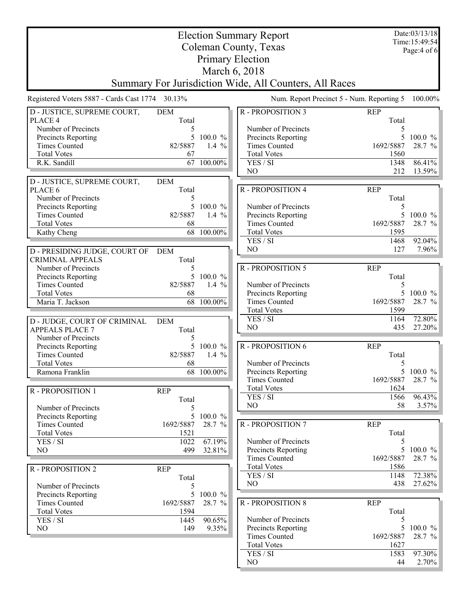| <b>Election Summary Report</b>                  |              |                       |                                                        | Date:03/13/18<br>Time: 15:49:54           |                      |
|-------------------------------------------------|--------------|-----------------------|--------------------------------------------------------|-------------------------------------------|----------------------|
| Coleman County, Texas                           |              |                       |                                                        |                                           | Page: 4 of 6         |
| <b>Primary Election</b>                         |              |                       |                                                        |                                           |                      |
| March 6, 2018                                   |              |                       |                                                        |                                           |                      |
|                                                 |              |                       | Summary For Jurisdiction Wide, All Counters, All Races |                                           |                      |
| Registered Voters 5887 - Cards Cast 1774 30.13% |              |                       |                                                        | Num. Report Precinct 5 - Num. Reporting 5 | 100.00%              |
| D - JUSTICE, SUPREME COURT,                     | <b>DEM</b>   |                       | R - PROPOSITION 3                                      | <b>REP</b>                                |                      |
| PLACE 4                                         | Total        |                       |                                                        | Total                                     |                      |
| Number of Precincts                             | 5            |                       | Number of Precincts                                    |                                           |                      |
| Precincts Reporting<br><b>Times Counted</b>     | 5<br>82/5887 | $100.0 \%$<br>1.4 $%$ | Precincts Reporting<br><b>Times Counted</b>            | 1692/5887                                 | $100.0 \%$<br>28.7 % |
| <b>Total Votes</b>                              | 67           |                       | <b>Total Votes</b>                                     | 1560                                      |                      |
| R.K. Sandill                                    | 67           | 100.00%               | YES / SI                                               | 1348                                      | 86.41%               |
|                                                 |              |                       | NO                                                     | 212                                       | 13.59%               |
| D - JUSTICE, SUPREME COURT,                     | <b>DEM</b>   |                       |                                                        |                                           |                      |
| PLACE 6                                         | Total        |                       | R - PROPOSITION 4                                      | <b>REP</b>                                |                      |
| Number of Precincts                             | 5            |                       |                                                        | Total                                     |                      |
| Precincts Reporting                             | 5            | 100.0 %               | Number of Precincts                                    | 5                                         |                      |
| <b>Times Counted</b>                            | 82/5887      | 1.4 $%$               | Precincts Reporting                                    | 5                                         | $100.0 \%$           |
| <b>Total Votes</b>                              | 68           |                       | <b>Times Counted</b>                                   | 1692/5887                                 | 28.7 %               |
| Kathy Cheng                                     |              | 68 100.00%            | <b>Total Votes</b>                                     | 1595                                      |                      |
|                                                 |              |                       | YES / SI<br>N <sub>O</sub>                             | 1468<br>127                               | 92.04%<br>7.96%      |
| D - PRESIDING JUDGE, COURT OF                   | <b>DEM</b>   |                       |                                                        |                                           |                      |
| <b>CRIMINAL APPEALS</b>                         | Total        |                       |                                                        |                                           |                      |
| Number of Precincts                             | 5            | 5 100.0 %             | R - PROPOSITION 5                                      | <b>REP</b><br>Total                       |                      |
| Precincts Reporting<br><b>Times Counted</b>     | 82/5887      | 1.4 $%$               | Number of Precincts                                    | 5                                         |                      |
| <b>Total Votes</b>                              | 68           |                       | Precincts Reporting                                    |                                           | 100.0 %              |
| Maria T. Jackson                                | 68           | 100.00%               | <b>Times Counted</b>                                   | 1692/5887                                 | 28.7 %               |
|                                                 |              |                       | <b>Total Votes</b>                                     | 1599                                      |                      |
| D - JUDGE, COURT OF CRIMINAL                    | <b>DEM</b>   |                       | YES / SI                                               | 1164                                      | 72.80%               |
| <b>APPEALS PLACE 7</b>                          | Total        |                       | N <sub>O</sub>                                         | 435                                       | 27.20%               |
| Number of Precincts                             | 5            |                       |                                                        |                                           |                      |
| Precincts Reporting                             | 5            | 100.0 %               | <b>R-PROPOSITION 6</b>                                 | <b>REP</b>                                |                      |
| <b>Times Counted</b>                            | 82/5887      | 1.4 $%$               |                                                        | Total                                     |                      |
| <b>Total Votes</b>                              | 68           |                       | Number of Precincts                                    | 5                                         |                      |
| Ramona Franklin                                 |              | 68 100.00%            | Precincts Reporting                                    |                                           | 5 100.0 %            |
|                                                 |              |                       | <b>Times Counted</b><br><b>Total Votes</b>             | 1692/5887<br>1624                         | 28.7 %               |
| R - PROPOSITION 1                               | <b>REP</b>   |                       | YES / SI                                               | 1566                                      | 96.43%               |
| Number of Precincts                             | Total        |                       | N <sub>O</sub>                                         | 58                                        | 3.57%                |
| Precincts Reporting                             | 5            | 5 100.0 %             |                                                        |                                           |                      |
| <b>Times Counted</b>                            | 1692/5887    | 28.7 %                | R - PROPOSITION 7                                      | <b>REP</b>                                |                      |
| <b>Total Votes</b>                              | 1521         |                       |                                                        | Total                                     |                      |
| YES / SI                                        | 1022         | 67.19%                | Number of Precincts                                    | 5                                         |                      |
| N <sub>O</sub>                                  | 499          | 32.81%                | Precincts Reporting                                    | 5                                         | $100.0 \%$           |
|                                                 |              |                       | <b>Times Counted</b>                                   | 1692/5887                                 | 28.7 %               |
| R - PROPOSITION 2                               | <b>REP</b>   |                       | <b>Total Votes</b>                                     | 1586                                      |                      |
|                                                 | Total        |                       | YES / SI                                               | 1148                                      | 72.38%               |
| Number of Precincts                             | 5            |                       | NO                                                     | 438                                       | 27.62%               |
| Precincts Reporting                             | 5            | 100.0 %               |                                                        |                                           |                      |
| <b>Times Counted</b><br><b>Total Votes</b>      | 1692/5887    | 28.7 %                | R - PROPOSITION 8                                      | <b>REP</b><br>Total                       |                      |
| YES / SI                                        | 1594<br>1445 | 90.65%                | Number of Precincts                                    | 5                                         |                      |
| NO                                              | 149          | 9.35%                 | Precincts Reporting                                    | 5                                         | $100.0 \%$           |
|                                                 |              |                       | <b>Times Counted</b>                                   | 1692/5887                                 | 28.7 %               |
|                                                 |              |                       | <b>Total Votes</b>                                     | 1627                                      |                      |
|                                                 |              |                       | YES / SI                                               | 1583                                      | 97.30%               |
|                                                 |              |                       | N <sub>O</sub>                                         | 44                                        | 2.70%                |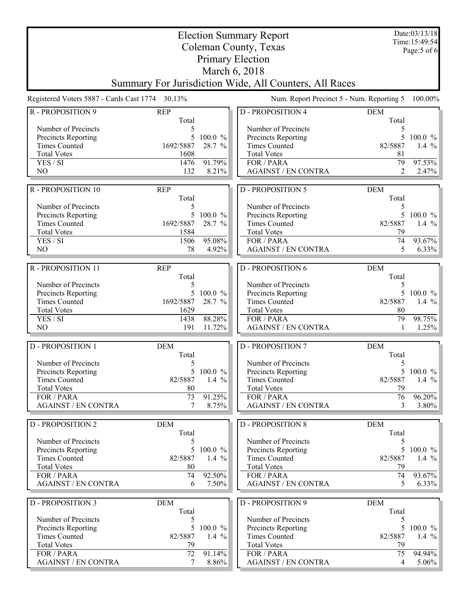| <b>Election Summary Report</b>                     |                                                 |                    |                                                        | Date:03/13/18<br>Time: 15:49:54 |                        |
|----------------------------------------------------|-------------------------------------------------|--------------------|--------------------------------------------------------|---------------------------------|------------------------|
| Coleman County, Texas                              |                                                 |                    |                                                        | Page: 5 of 6                    |                        |
| <b>Primary Election</b>                            |                                                 |                    |                                                        |                                 |                        |
|                                                    |                                                 |                    | March 6, 2018                                          |                                 |                        |
|                                                    |                                                 |                    | Summary For Jurisdiction Wide, All Counters, All Races |                                 |                        |
|                                                    | Registered Voters 5887 - Cards Cast 1774 30.13% |                    | Num. Report Precinct 5 - Num. Reporting 5              |                                 | 100.00%                |
| R - PROPOSITION 9                                  | <b>REP</b><br>Total                             |                    | <b>D-PROPOSITION 4</b>                                 | <b>DEM</b><br>Total             |                        |
| Number of Precincts                                | 5                                               |                    | Number of Precincts                                    | 5                               |                        |
| Precincts Reporting                                | 5                                               | $100.0 \%$         | Precincts Reporting                                    | 5                               | $100.0 \%$             |
| <b>Times Counted</b>                               | 1692/5887                                       | 28.7 %             | <b>Times Counted</b>                                   | 82/5887                         | 1.4 $%$                |
| <b>Total Votes</b>                                 | 1608                                            |                    | <b>Total Votes</b>                                     | 81                              |                        |
| YES / SI<br>N <sub>O</sub>                         | 1476<br>132                                     | 91.79%<br>8.21%    | FOR / PARA<br><b>AGAINST / EN CONTRA</b>               | 79<br>$\overline{2}$            | 97.53%<br>2.47%        |
|                                                    |                                                 |                    |                                                        |                                 |                        |
| R - PROPOSITION 10                                 | <b>REP</b><br>Total                             |                    | <b>D-PROPOSITION 5</b>                                 | <b>DEM</b><br>Total             |                        |
| Number of Precincts                                | 5                                               |                    | Number of Precincts                                    | 5                               |                        |
| Precincts Reporting                                | 5                                               | 100.0 %            | Precincts Reporting                                    | 5                               | $100.0 \%$             |
| <b>Times Counted</b>                               | 1692/5887                                       | 28.7 %             | <b>Times Counted</b>                                   | 82/5887                         | 1.4 $%$                |
| <b>Total Votes</b>                                 | 1584                                            |                    | <b>Total Votes</b>                                     | 79                              |                        |
| YES / SI                                           | 1506                                            | 95.08%             | FOR / PARA                                             | 74                              | 93.67%                 |
| N <sub>O</sub>                                     | 78                                              | 4.92%              | <b>AGAINST / EN CONTRA</b>                             | 5                               | 6.33%                  |
| R - PROPOSITION 11                                 | <b>REP</b>                                      |                    | <b>D-PROPOSITION 6</b>                                 | <b>DEM</b>                      |                        |
|                                                    | Total                                           |                    |                                                        | Total                           |                        |
| Number of Precincts                                | 5                                               |                    | Number of Precincts                                    | 5                               |                        |
| Precincts Reporting<br><b>Times Counted</b>        | 5<br>1692/5887                                  | 100.0 %<br>28.7 %  | <b>Precincts Reporting</b><br><b>Times Counted</b>     | 5<br>82/5887                    | $100.0 \%$<br>1.4 $%$  |
| <b>Total Votes</b>                                 | 1629                                            |                    | <b>Total Votes</b>                                     | 80                              |                        |
| YES / SI                                           | 1438                                            | 88.28%             | FOR / PARA                                             | 79                              | 98.75%                 |
| N <sub>O</sub>                                     | 191                                             | 11.72%             | <b>AGAINST / EN CONTRA</b>                             |                                 | 1.25%                  |
|                                                    |                                                 |                    |                                                        |                                 |                        |
| <b>D-PROPOSITION 1</b>                             | <b>DEM</b><br>Total                             |                    | <b>D-PROPOSITION 7</b>                                 | <b>DEM</b><br>Total             |                        |
| Number of Precincts                                | 5                                               |                    | Number of Precincts                                    | 5                               |                        |
| <b>Precincts Reporting</b>                         | 5                                               | 100.0 %            | Precincts Reporting                                    | 5                               | $100.0 \%$             |
| <b>Times Counted</b>                               | 82/5887                                         | 1.4 $%$            | <b>Times Counted</b>                                   | 82/5887                         | 1.4 $\%$               |
| <b>Total Votes</b>                                 | 80                                              |                    | <b>Total Votes</b>                                     | 79                              |                        |
| FOR / PARA                                         | 73                                              | 91.25%             | FOR / PARA                                             | 76                              | 96.20%                 |
| <b>AGAINST / EN CONTRA</b>                         | 7                                               | 8.75%              | <b>AGAINST / EN CONTRA</b>                             | 3                               | $3.80\%$               |
| <b>D - PROPOSITION 2</b>                           | <b>DEM</b>                                      |                    | <b>D-PROPOSITION 8</b>                                 | <b>DEM</b>                      |                        |
|                                                    | Total                                           |                    |                                                        | Total                           |                        |
| Number of Precincts                                | 5                                               |                    | Number of Precincts                                    | 5                               |                        |
| <b>Precincts Reporting</b><br><b>Times Counted</b> | 5<br>82/5887                                    | 100.0 %<br>1.4 $%$ | <b>Precincts Reporting</b><br><b>Times Counted</b>     | 5<br>82/5887                    | $100.0 \%$<br>1.4 $\%$ |
| <b>Total Votes</b>                                 | 80                                              |                    | <b>Total Votes</b>                                     | 79                              |                        |
| FOR / PARA                                         | 74                                              | 92.50%             | FOR / PARA                                             | 74                              | 93.67%                 |
| <b>AGAINST / EN CONTRA</b>                         | 6                                               | 7.50%              | <b>AGAINST / EN CONTRA</b>                             | 5                               | $6.33\%$               |
|                                                    |                                                 |                    |                                                        |                                 |                        |
| <b>D - PROPOSITION 3</b>                           | <b>DEM</b>                                      |                    | <b>D-PROPOSITION 9</b>                                 | <b>DEM</b>                      |                        |
| Number of Precincts                                | Total<br>5                                      |                    | Number of Precincts                                    | Total<br>5                      |                        |
| Precincts Reporting                                | 5                                               | 100.0 %            | Precincts Reporting                                    | 5                               | 100.0 %                |
| <b>Times Counted</b>                               | 82/5887                                         | 1.4 $%$            | <b>Times Counted</b>                                   | 82/5887                         | 1.4 $\%$               |
| <b>Total Votes</b>                                 | 79                                              |                    | <b>Total Votes</b>                                     | 79                              |                        |
| FOR / PARA                                         | 72                                              | 91.14%             | FOR / PARA                                             | 75                              | 94.94%                 |
| <b>AGAINST / EN CONTRA</b>                         | 7                                               | 8.86%              | <b>AGAINST / EN CONTRA</b>                             | 4                               | $5.06\%$               |